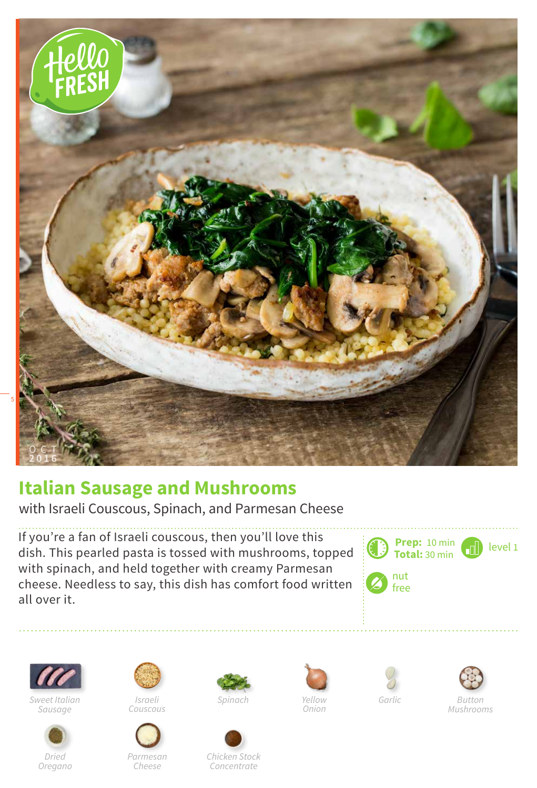

## **Italian Sausage and Mushrooms**

with Israeli Couscous, Spinach, and Parmesan Cheese

If you're a fan of Israeli couscous, then you'll love this dish. This pearled pasta is tossed with mushrooms, topped with spinach, and held together with creamy Parmesan cheese. Needless to say, this dish has comfort food written all over it.

**Prep: Total:** 10 min 30 min  $\blacksquare$  level 1 nut free



*Sweet Italian Sausage*



*Dried Oregano*



*Couscous*



*Parmesan Cheese*



*Spinach Garlic*









*Chicken Stock Concentrate*